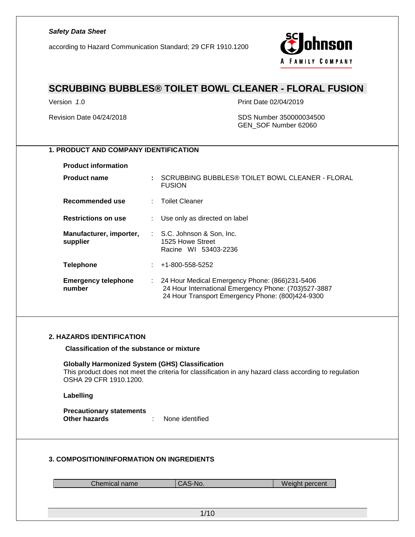according to Hazard Communication Standard; 29 CFR 1910.1200



### **SCRUBBING BUBBLES® TOILET BOWL CLEANER - FLORAL FUSION**

Version *1*.0 Print Date 02/04/2019

Revision Date 04/24/2018 SDS Number 350000034500 GEN\_SOF Number 62060

### **1. PRODUCT AND COMPANY IDENTIFICATION**

**Product information**

| <b>Product name</b>                  | SCRUBBING BUBBLES® TOILET BOWL CLEANER - FLORAL<br><b>FUSION</b>                                                                                             |
|--------------------------------------|--------------------------------------------------------------------------------------------------------------------------------------------------------------|
| Recommended use                      | : Toilet Cleaner                                                                                                                                             |
| <b>Restrictions on use</b>           | Use only as directed on label                                                                                                                                |
| Manufacturer, importer,<br>supplier  | : S.C. Johnson & Son, Inc.<br>1525 Howe Street<br>Racine WI 53403-2236                                                                                       |
| <b>Telephone</b>                     | $: 41-800-558-5252$                                                                                                                                          |
| <b>Emergency telephone</b><br>number | : 24 Hour Medical Emergency Phone: (866)231-5406<br>24 Hour International Emergency Phone: (703)527-3887<br>24 Hour Transport Emergency Phone: (800)424-9300 |

#### **2. HAZARDS IDENTIFICATION**

**Classification of the substance or mixture**

**Globally Harmonized System (GHS) Classification** This product does not meet the criteria for classification in any hazard class according to regulation OSHA 29 CFR 1910.1200.

#### **Labelling**

**Precautionary statements Other hazards** : None identified

#### **3. COMPOSITION/INFORMATION ON INGREDIENTS**

Chemical name CAS-No. Note a set of the Veight percent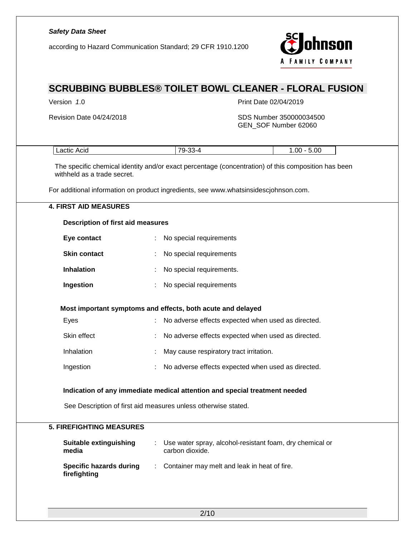|                                                | hnson<br>according to Hazard Communication Standard; 29 CFR 1910.1200<br><b>FAMILY COMPANY</b>      |
|------------------------------------------------|-----------------------------------------------------------------------------------------------------|
|                                                | <b>SCRUBBING BUBBLES® TOILET BOWL CLEANER - FLORAL FUSION</b>                                       |
| Version 1.0                                    | Print Date 02/04/2019                                                                               |
| Revision Date 04/24/2018                       | SDS Number 350000034500<br>GEN_SOF Number 62060                                                     |
| Lactic Acid                                    | 79-33-4<br>$1.00 - 5.00$                                                                            |
| withheld as a trade secret.                    | The specific chemical identity and/or exact percentage (concentration) of this composition has been |
|                                                | For additional information on product ingredients, see www.whatsinsidescjohnson.com.                |
| <b>4. FIRST AID MEASURES</b>                   |                                                                                                     |
| <b>Description of first aid measures</b>       |                                                                                                     |
| Eye contact                                    | No special requirements                                                                             |
| <b>Skin contact</b>                            | No special requirements                                                                             |
| <b>Inhalation</b>                              | No special requirements.                                                                            |
| Ingestion                                      | No special requirements                                                                             |
|                                                | Most important symptoms and effects, both acute and delayed                                         |
| Eyes                                           | No adverse effects expected when used as directed.                                                  |
| Skin effect                                    | No adverse effects expected when used as directed.                                                  |
| Inhalation                                     | May cause respiratory tract irritation.                                                             |
| Ingestion                                      | No adverse effects expected when used as directed.                                                  |
|                                                | Indication of any immediate medical attention and special treatment needed                          |
|                                                | See Description of first aid measures unless otherwise stated.                                      |
| <b>5. FIREFIGHTING MEASURES</b>                |                                                                                                     |
| <b>Suitable extinguishing</b><br>media         | : Use water spray, alcohol-resistant foam, dry chemical or<br>carbon dioxide.                       |
| <b>Specific hazards during</b><br>firefighting | Container may melt and leak in heat of fire.<br>$\mathcal{L}$                                       |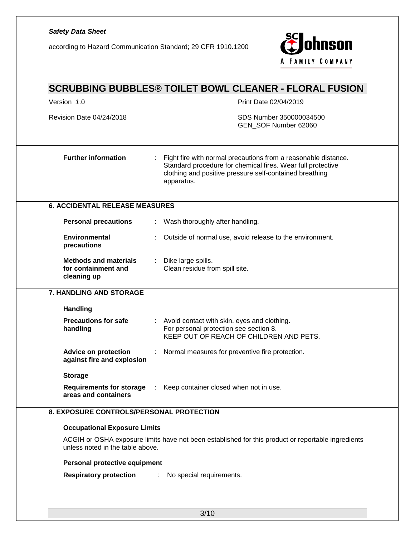# *Safety Data Sheet* **hnson** according to Hazard Communication Standard; 29 CFR 1910.1200 A FAMILY COMPANY **SCRUBBING BUBBLES® TOILET BOWL CLEANER - FLORAL FUSION** Version *1*.0 Print Date 02/04/2019 Revision Date 04/24/2018 SDS Number 350000034500 GEN\_SOF Number 62060 **Further information** : Fight fire with normal precautions from a reasonable distance. Standard procedure for chemical fires. Wear full protective clothing and positive pressure self-contained breathing apparatus. **6. ACCIDENTAL RELEASE MEASURES Personal precautions** : Wash thoroughly after handling. **Environmental**  : Outside of normal use, avoid release to the environment. **precautions Methods and materials**  Dike large spills. **for containment and**  Clean residue from spill site. **cleaning up 7. HANDLING AND STORAGE Handling Precautions for safe**  : Avoid contact with skin, eyes and clothing. **handling** For personal protection see section 8. KEEP OUT OF REACH OF CHILDREN AND PETS. **Advice on protection**  : Normal measures for preventive fire protection. **against fire and explosion Storage Requirements for storage**  : Keep container closed when not in use. **areas and containers 8. EXPOSURE CONTROLS/PERSONAL PROTECTION Occupational Exposure Limits** ACGIH or OSHA exposure limits have not been established for this product or reportable ingredients unless noted in the table above. **Personal protective equipment Respiratory protection** : No special requirements.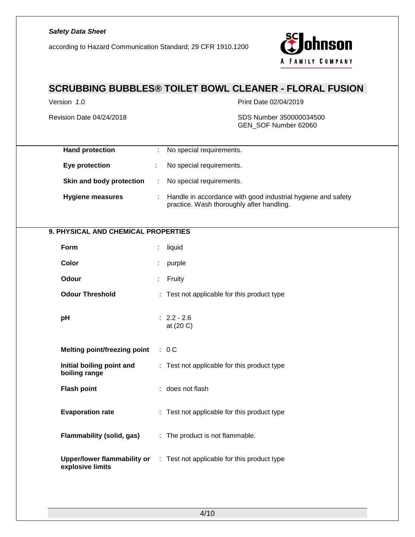according to Hazard Communication Standard; 29 CFR 1910.1200



# **SCRUBBING BUBBLES® TOILET BOWL CLEANER - FLORAL FUSION**

Version *1*.0 Print Date 02/04/2019

Revision Date 04/24/2018 SDS Number 350000034500 GEN\_SOF Number 62060

| <b>Hand protection</b>                                 | ÷ | No special requirements.                                                                                  |
|--------------------------------------------------------|---|-----------------------------------------------------------------------------------------------------------|
| Eye protection                                         | ÷ | No special requirements.                                                                                  |
| Skin and body protection                               | ÷ | No special requirements.                                                                                  |
| <b>Hygiene measures</b>                                | ÷ | Handle in accordance with good industrial hygiene and safety<br>practice. Wash thoroughly after handling. |
| 9. PHYSICAL AND CHEMICAL PROPERTIES                    |   |                                                                                                           |
| Form                                                   |   | liquid                                                                                                    |
| Color                                                  |   | purple                                                                                                    |
| Odour                                                  |   | Fruity                                                                                                    |
| <b>Odour Threshold</b>                                 |   | : Test not applicable for this product type                                                               |
| pH                                                     |   | $: 2.2 - 2.6$<br>at (20 C)                                                                                |
| <b>Melting point/freezing point</b>                    |   | : 0C                                                                                                      |
| Initial boiling point and<br>boiling range             |   | : Test not applicable for this product type                                                               |
| <b>Flash point</b>                                     |   | : does not flash                                                                                          |
| <b>Evaporation rate</b>                                |   | : Test not applicable for this product type                                                               |
| Flammability (solid, gas)                              |   | : The product is not flammable.                                                                           |
| <b>Upper/lower flammability or</b><br>explosive limits |   | : Test not applicable for this product type                                                               |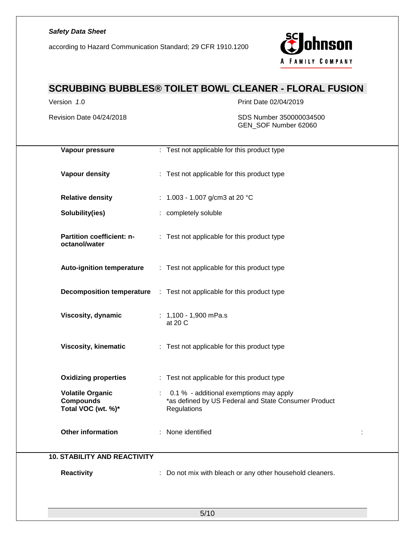according to Hazard Communication Standard; 29 CFR 1910.1200



# **SCRUBBING BUBBLES® TOILET BOWL CLEANER - FLORAL FUSION**

Version *1*.0 Print Date 02/04/2019

Revision Date 04/24/2018 SDS Number 350000034500 GEN\_SOF Number 62060

| Vapour pressure                                                   | : Test not applicable for this product type                                                                    |
|-------------------------------------------------------------------|----------------------------------------------------------------------------------------------------------------|
| Vapour density                                                    | : Test not applicable for this product type                                                                    |
| <b>Relative density</b>                                           | : $1.003 - 1.007$ g/cm3 at 20 °C                                                                               |
| Solubility(ies)                                                   | : completely soluble                                                                                           |
| Partition coefficient: n-<br>octanol/water                        | : Test not applicable for this product type                                                                    |
| <b>Auto-ignition temperature</b>                                  | : Test not applicable for this product type                                                                    |
|                                                                   | <b>Decomposition temperature</b> : Test not applicable for this product type                                   |
| Viscosity, dynamic                                                | $: 1,100 - 1,900$ mPa.s<br>at 20 C                                                                             |
| <b>Viscosity, kinematic</b>                                       | : Test not applicable for this product type                                                                    |
| <b>Oxidizing properties</b>                                       | : Test not applicable for this product type                                                                    |
| <b>Volatile Organic</b><br><b>Compounds</b><br>Total VOC (wt. %)* | 0.1 % - additional exemptions may apply<br>*as defined by US Federal and State Consumer Product<br>Regulations |
| <b>Other information</b>                                          | : None identified                                                                                              |
| <b>10. STABILITY AND REACTIVITY</b>                               |                                                                                                                |
| <b>Reactivity</b>                                                 | : Do not mix with bleach or any other household cleaners.                                                      |
|                                                                   |                                                                                                                |
|                                                                   | 5/10                                                                                                           |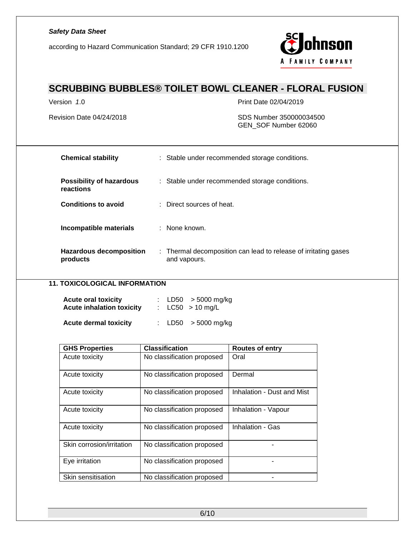according to Hazard Communication Standard; 29 CFR 1910.1200



# **SCRUBBING BUBBLES® TOILET BOWL CLEANER - FLORAL FUSION**

Version *1*.0 Print Date 02/04/2019

#### Revision Date 04/24/2018 SDS Number 350000034500 GEN\_SOF Number 62060

| <b>Chemical stability</b>                    | : Stable under recommended storage conditions.                                  |
|----------------------------------------------|---------------------------------------------------------------------------------|
| <b>Possibility of hazardous</b><br>reactions | : Stable under recommended storage conditions.                                  |
| <b>Conditions to avoid</b>                   | $\therefore$ Direct sources of heat.                                            |
| Incompatible materials                       | : None known.                                                                   |
| <b>Hazardous decomposition</b><br>products   | : Thermal decomposition can lead to release of irritating gases<br>and vapours. |

### **11. TOXICOLOGICAL INFORMATION**

| <b>Acute oral toxicity</b><br><b>Acute inhalation toxicity</b> |  | : LD50 $>$ 5000 mg/kg<br>: $LC50 > 10$ mg/L |
|----------------------------------------------------------------|--|---------------------------------------------|
| <b>Acute dermal toxicity</b>                                   |  | : LD50 $>$ 5000 mg/kg                       |

| <b>GHS Properties</b>     | <b>Classification</b>      | <b>Routes of entry</b>     |
|---------------------------|----------------------------|----------------------------|
| Acute toxicity            | No classification proposed | Oral                       |
| Acute toxicity            | No classification proposed | Dermal                     |
| Acute toxicity            | No classification proposed | Inhalation - Dust and Mist |
| Acute toxicity            | No classification proposed | Inhalation - Vapour        |
| Acute toxicity            | No classification proposed | Inhalation - Gas           |
| Skin corrosion/irritation | No classification proposed |                            |
| Eye irritation            | No classification proposed |                            |
| Skin sensitisation        | No classification proposed |                            |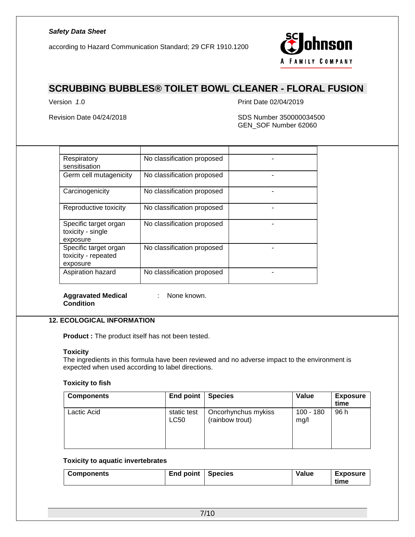according to Hazard Communication Standard; 29 CFR 1910.1200



## **SCRUBBING BUBBLES® TOILET BOWL CLEANER - FLORAL FUSION**

Version *1*.0 Print Date 02/04/2019

Revision Date 04/24/2018 SDS Number 350000034500 GEN\_SOF Number 62060

| Respiratory<br>sensitisation                             | No classification proposed |  |
|----------------------------------------------------------|----------------------------|--|
| Germ cell mutagenicity                                   | No classification proposed |  |
| Carcinogenicity                                          | No classification proposed |  |
| Reproductive toxicity                                    | No classification proposed |  |
| Specific target organ<br>toxicity - single<br>exposure   | No classification proposed |  |
| Specific target organ<br>toxicity - repeated<br>exposure | No classification proposed |  |
| Aspiration hazard                                        | No classification proposed |  |

#### **Aggravated Medical Condition**

: None known.

### **12. ECOLOGICAL INFORMATION**

**Product :** The product itself has not been tested.

#### **Toxicity**

The ingredients in this formula have been reviewed and no adverse impact to the environment is expected when used according to label directions.

#### **Toxicity to fish**

| <b>Components</b> | <b>End point</b>    | <b>Species</b>                         | Value               | <b>Exposure</b><br>time |
|-------------------|---------------------|----------------------------------------|---------------------|-------------------------|
| Lactic Acid       | static test<br>LC50 | Oncorhynchus mykiss<br>(rainbow trout) | $100 - 180$<br>mg/l | 96 h                    |

#### **Toxicity to aquatic invertebrates**

|  | <b>Exposure</b><br>time |
|--|-------------------------|
|--|-------------------------|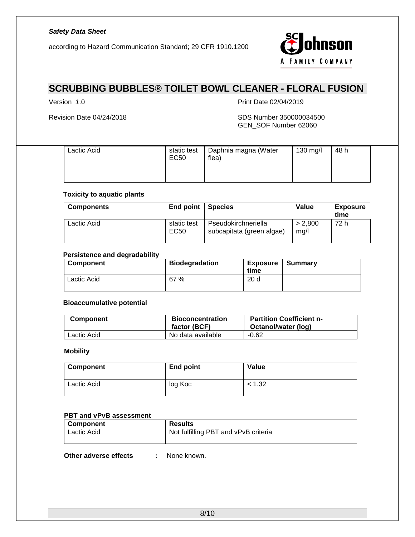according to Hazard Communication Standard; 29 CFR 1910.1200



# **SCRUBBING BUBBLES® TOILET BOWL CLEANER - FLORAL FUSION**

Version *1*.0 Print Date 02/04/2019

#### Revision Date 04/24/2018 SDS Number 350000034500 GEN\_SOF Number 62060

| Lactic Acid | static test<br>EC50 | Daphnia magna (Water<br>flea) | 130 mg/l | 48 h |  |
|-------------|---------------------|-------------------------------|----------|------|--|
|-------------|---------------------|-------------------------------|----------|------|--|

### **Toxicity to aquatic plants**

| <b>Components</b> | End point           | <b>Species</b>                                   | Value           | <b>Exposure</b><br>time |
|-------------------|---------------------|--------------------------------------------------|-----------------|-------------------------|
| Lactic Acid       | static test<br>EC50 | Pseudokirchneriella<br>subcapitata (green algae) | > 2.800<br>mg/l | 72 h                    |

#### **Persistence and degradability**

| Component   | <b>Biodegradation</b> | <b>Exposure</b><br>time | Summary |
|-------------|-----------------------|-------------------------|---------|
| Lactic Acid | 67 %                  | 20 <sub>d</sub>         |         |

#### **Bioaccumulative potential**

| <b>Component</b> | <b>Bioconcentration</b><br>factor (BCF) | <b>Partition Coefficient n-</b><br>Octanol/water (log) |
|------------------|-----------------------------------------|--------------------------------------------------------|
| Lactic Acid      | No data available                       | $-0.62$                                                |

#### **Mobility**

| <b>Component</b> | End point | <b>Value</b> |
|------------------|-----------|--------------|
| Lactic Acid      | log Koc   | < 1.32       |

#### **PBT and vPvB assessment**

| <b>Component</b> | <b>Results</b>                       |
|------------------|--------------------------------------|
| Lactic Acid      | Not fulfilling PBT and vPvB criteria |
|                  |                                      |

**Other adverse effects :** None known.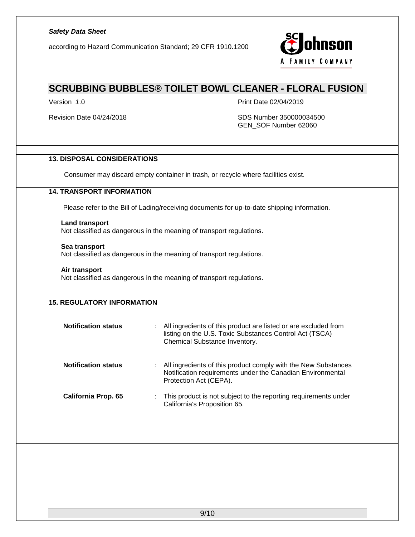according to Hazard Communication Standard; 29 CFR 1910.1200



### **SCRUBBING BUBBLES® TOILET BOWL CLEANER - FLORAL FUSION**

Version *1*.0 Print Date 02/04/2019

Revision Date 04/24/2018 **SDS Number 350000034500** SDS Number 350000034500 GEN\_SOF Number 62060

### **13. DISPOSAL CONSIDERATIONS**

Consumer may discard empty container in trash, or recycle where facilities exist.

#### **14. TRANSPORT INFORMATION**

Please refer to the Bill of Lading/receiving documents for up-to-date shipping information.

#### **Land transport**

Not classified as dangerous in the meaning of transport regulations.

#### **Sea transport**

Not classified as dangerous in the meaning of transport regulations.

#### **Air transport**

Not classified as dangerous in the meaning of transport regulations.

| <b>15. REGULATORY INFORMATION</b> |                                                                                                                                                             |
|-----------------------------------|-------------------------------------------------------------------------------------------------------------------------------------------------------------|
| <b>Notification status</b>        | All ingredients of this product are listed or are excluded from<br>listing on the U.S. Toxic Substances Control Act (TSCA)<br>Chemical Substance Inventory. |
| <b>Notification status</b>        | All ingredients of this product comply with the New Substances<br>Notification requirements under the Canadian Environmental<br>Protection Act (CEPA).      |
| California Prop. 65               | This product is not subject to the reporting requirements under<br>California's Proposition 65.                                                             |